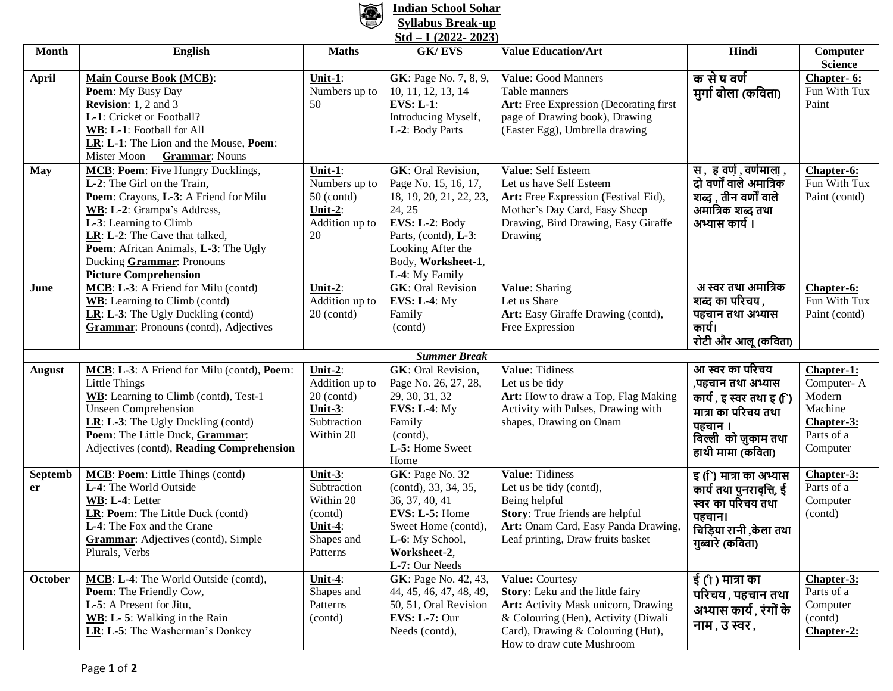

## **Indian School Sohar Syllabus Break-up Std – I (2022- 2023)**

| $SU(1 - 1)$ (2022 - 2023) |                                                                                                                                                                                                                                                                                                          |                                                                                     |                                                                                                                                                                                                |                                                                                                                                                                                                     |                                                                                                                                                 |                                                                                       |  |  |  |  |
|---------------------------|----------------------------------------------------------------------------------------------------------------------------------------------------------------------------------------------------------------------------------------------------------------------------------------------------------|-------------------------------------------------------------------------------------|------------------------------------------------------------------------------------------------------------------------------------------------------------------------------------------------|-----------------------------------------------------------------------------------------------------------------------------------------------------------------------------------------------------|-------------------------------------------------------------------------------------------------------------------------------------------------|---------------------------------------------------------------------------------------|--|--|--|--|
| <b>Month</b>              | <b>English</b>                                                                                                                                                                                                                                                                                           | <b>Maths</b>                                                                        | <b>GK/EVS</b>                                                                                                                                                                                  | <b>Value Education/Art</b>                                                                                                                                                                          | Hindi                                                                                                                                           | Computer<br><b>Science</b>                                                            |  |  |  |  |
| <b>April</b>              | <b>Main Course Book (MCB):</b><br>Poem: My Busy Day<br><b>Revision:</b> 1, 2 and 3<br>L-1: Cricket or Football?<br>WB: L-1: Football for All<br>LR: L-1: The Lion and the Mouse, Poem:<br>Mister Moon<br><b>Grammar:</b> Nouns                                                                           | Unit-1:<br>Numbers up to<br>50                                                      | <b>GK</b> : Page No. 7, 8, 9,<br>10, 11, 12, 13, 14<br><b>EVS: L-1:</b><br>Introducing Myself,<br>L-2: Body Parts                                                                              | Value: Good Manners<br>Table manners<br>Art: Free Expression (Decorating first<br>page of Drawing book), Drawing<br>(Easter Egg), Umbrella drawing                                                  | क से ष वर्ण<br>मुर्गा बोला (कविता)                                                                                                              | Chapter- 6:<br>Fun With Tux<br>Paint                                                  |  |  |  |  |
| <b>May</b>                | MCB: Poem: Five Hungry Ducklings,<br>L-2: The Girl on the Train,<br>Poem: Crayons, L-3: A Friend for Milu<br>WB: L-2: Grampa's Address,<br>L-3: Learning to Climb<br>LR: L-2: The Cave that talked,<br>Poem: African Animals, L-3: The Ugly<br>Ducking Grammar: Pronouns<br><b>Picture Comprehension</b> | Unit-1:<br>Numbers up to<br>$50$ (contd)<br>Unit-2:<br>Addition up to<br>20         | <b>GK</b> : Oral Revision,<br>Page No. 15, 16, 17,<br>18, 19, 20, 21, 22, 23,<br>24, 25<br>EVS: L-2: Body<br>Parts, (contd), L-3:<br>Looking After the<br>Body, Worksheet-1,<br>L-4: My Family | Value: Self Esteem<br>Let us have Self Esteem<br>Art: Free Expression (Festival Eid),<br>Mother's Day Card, Easy Sheep<br>Drawing, Bird Drawing, Easy Giraffe<br>Drawing                            | स , ह वर्ण , वर्णमाला ,<br>दो वर्णों वाले अमात्रिक<br>शब्द , तीन वर्णों वाले<br>अमात्रिक शब्द तथा<br>अभ्यास कार्य ।                             | Chapter-6:<br>Fun With Tux<br>Paint (contd)                                           |  |  |  |  |
| June                      | MCB: L-3: A Friend for Milu (contd)<br><b>WB</b> : Learning to Climb (contd)<br>LR: L-3: The Ugly Duckling (contd)<br><b>Grammar:</b> Pronouns (contd), Adjectives                                                                                                                                       | Unit-2:<br>Addition up to<br>$20$ (contd)                                           | <b>GK:</b> Oral Revision<br><b>EVS: L-4: My</b><br>Family<br>(contd)                                                                                                                           | Value: Sharing<br>Let us Share<br>Art: Easy Giraffe Drawing (contd),<br>Free Expression                                                                                                             | अ स्वर तथा अमात्रिक<br>शब्द का परिचय ,<br>पहचान तथा अभ्यास<br>कार्य।<br>रोटी और आलू (कविता)                                                     | Chapter-6:<br>Fun With Tux<br>Paint (contd)                                           |  |  |  |  |
|                           |                                                                                                                                                                                                                                                                                                          |                                                                                     | <b>Summer Break</b>                                                                                                                                                                            |                                                                                                                                                                                                     |                                                                                                                                                 |                                                                                       |  |  |  |  |
| <b>August</b>             | MCB: L-3: A Friend for Milu (contd), Poem:<br>Little Things<br>WB: Learning to Climb (contd), Test-1<br><b>Unseen Comprehension</b><br>LR: L-3: The Ugly Duckling (contd)<br>Poem: The Little Duck, Grammar:<br>Adjectives (contd), Reading Comprehension                                                | Unit-2:<br>Addition up to<br>$20$ (contd)<br>Unit-3:<br>Subtraction<br>Within 20    | <b>GK</b> : Oral Revision,<br>Page No. 26, 27, 28,<br>29, 30, 31, 32<br><b>EVS: L-4: My</b><br>Family<br>(contd),<br>L-5: Home Sweet<br>Home                                                   | Value: Tidiness<br>Let us be tidy<br>Art: How to draw a Top, Flag Making<br>Activity with Pulses, Drawing with<br>shapes, Drawing on Onam                                                           | आ स्वर का परिचय<br>,पहचान तथा अभ्यास<br>कार्य , इ स्वर तथा इ (ि)<br>मात्रा का परिचय तथा<br>पहचान ।<br>बिल्ली को ज़ुकाम तथा<br>हाथी मामा (कविता) | Chapter-1:<br>Computer-A<br>Modern<br>Machine<br>Chapter-3:<br>Parts of a<br>Computer |  |  |  |  |
| <b>Septemb</b><br>er      | MCB: Poem: Little Things (contd)<br>L-4: The World Outside<br>WB: L-4: Letter<br>LR: Poem: The Little Duck (contd)<br>L-4: The Fox and the Crane<br><b>Grammar:</b> Adjectives (contd), Simple<br>Plurals, Verbs                                                                                         | Unit-3:<br>Subtraction<br>Within 20<br>(contd)<br>Unit-4:<br>Shapes and<br>Patterns | GK: Page No. 32<br>(contd), 33, 34, 35,<br>36, 37, 40, 41<br>EVS: L-5: Home<br>Sweet Home (contd),<br>L-6: My School,<br>Worksheet-2,<br>L-7: Our Needs                                        | Value: Tidiness<br>Let us be tidy (contd),<br>Being helpful<br>Story: True friends are helpful<br>Art: Onam Card, Easy Panda Drawing,<br>Leaf printing, Draw fruits basket                          | इ (ि) मात्रा का अभ्यास<br>कार्य तथा पुनरावृत्ति, ई<br>स्वर का परिचय तथा<br>पहचान।<br>चिड़िया रानी ,केला तथा<br>गुब्बारे (कविता)                 | Chapter-3:<br>Parts of a<br>Computer<br>(contd)                                       |  |  |  |  |
| October                   | MCB: L-4: The World Outside (contd),<br>Poem: The Friendly Cow,<br>L-5: A Present for Jitu,<br>WB: L-5: Walking in the Rain<br>LR: L-5: The Washerman's Donkey                                                                                                                                           | Unit-4:<br>Shapes and<br>Patterns<br>(contd)                                        | GK: Page No. 42, 43,<br>44, 45, 46, 47, 48, 49,<br>50, 51, Oral Revision<br><b>EVS: L-7: Our</b><br>Needs (contd),                                                                             | Value: Courtesy<br>Story: Leku and the little fairy<br>Art: Activity Mask unicorn, Drawing<br>& Colouring (Hen), Activity (Diwali<br>Card), Drawing & Colouring (Hut),<br>How to draw cute Mushroom | ई (ो ) मात्रा का<br>परिचय , पहचान तथा<br>अभ्यास कार्य , रंगों के<br>नाम , उ स्वर ,                                                              | Chapter-3:<br>Parts of a<br>Computer<br>(contd)<br>Chapter-2:                         |  |  |  |  |